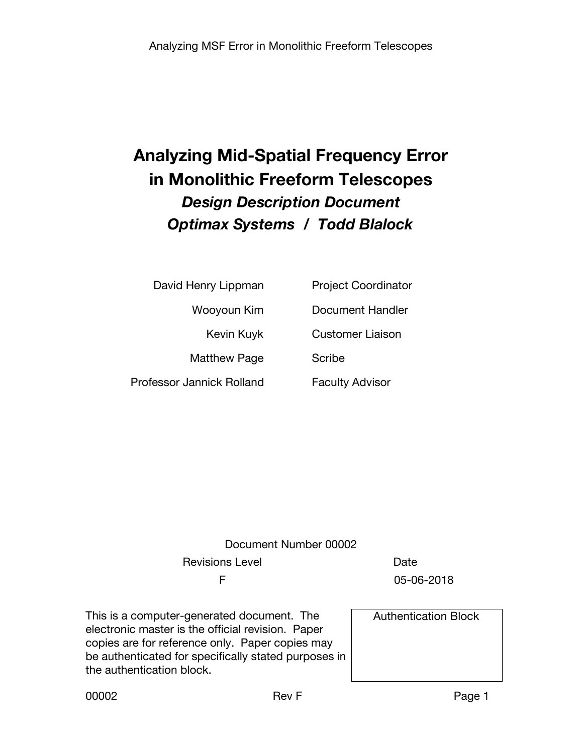# **Analyzing Mid-Spatial Frequency Error in Monolithic Freeform Telescopes** *Design Description Document Optimax Systems / Todd Blalock*

| David Henry Lippman       | <b>Project Coordinator</b> |
|---------------------------|----------------------------|
| Wooyoun Kim               | <b>Document Handler</b>    |
| Kevin Kuyk                | <b>Customer Liaison</b>    |
| <b>Matthew Page</b>       | Scribe                     |
| Professor Jannick Rolland | <b>Faculty Advisor</b>     |

## Document Number 00002 Revisions Level **Date** Date F 05-06-2018

This is a computer-generated document. The electronic master is the official revision. Paper copies are for reference only. Paper copies may be authenticated for specifically stated purposes in the authentication block.

Authentication Block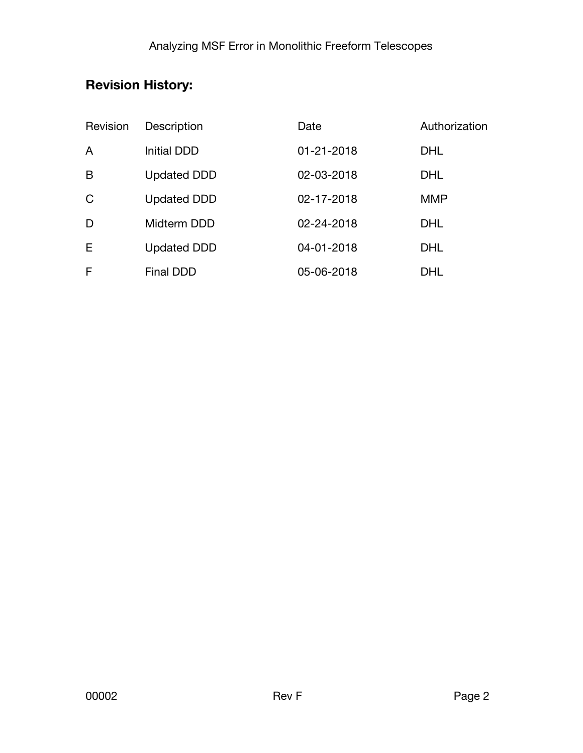## **Revision History:**

| Revision    | Description        | Date       | Authorization |
|-------------|--------------------|------------|---------------|
| A           | Initial DDD        | 01-21-2018 | <b>DHL</b>    |
| B           | <b>Updated DDD</b> | 02-03-2018 | <b>DHL</b>    |
| $\mathsf C$ | <b>Updated DDD</b> | 02-17-2018 | <b>MMP</b>    |
| D           | Midterm DDD        | 02-24-2018 | <b>DHL</b>    |
| Ε           | <b>Updated DDD</b> | 04-01-2018 | <b>DHL</b>    |
| F           | Final DDD          | 05-06-2018 | <b>DHL</b>    |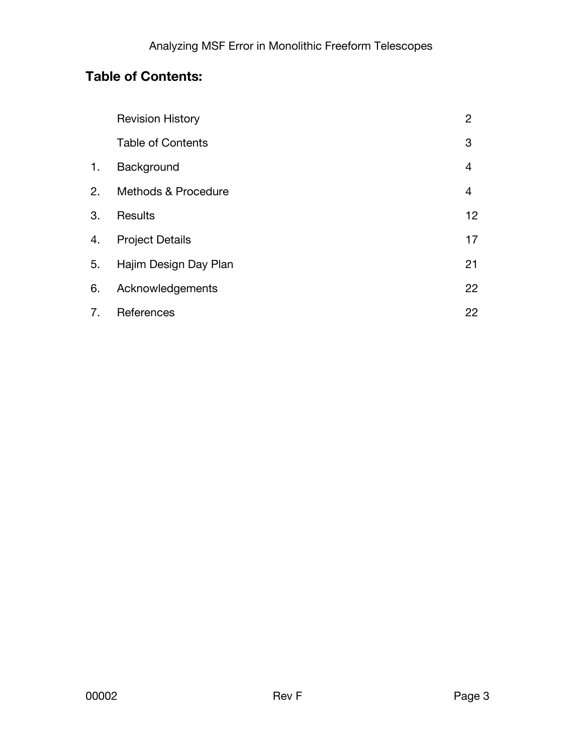## **Table of Contents:**

|    | <b>Revision History</b>        | 2              |
|----|--------------------------------|----------------|
|    | <b>Table of Contents</b>       | 3              |
| 1. | Background                     | $\overline{4}$ |
| 2. | <b>Methods &amp; Procedure</b> | 4              |
| 3. | <b>Results</b>                 | 12             |
| 4. | <b>Project Details</b>         | 17             |
| 5. | Hajim Design Day Plan          | 21             |
| 6. | Acknowledgements               | 22             |
| 7. | References                     | 22             |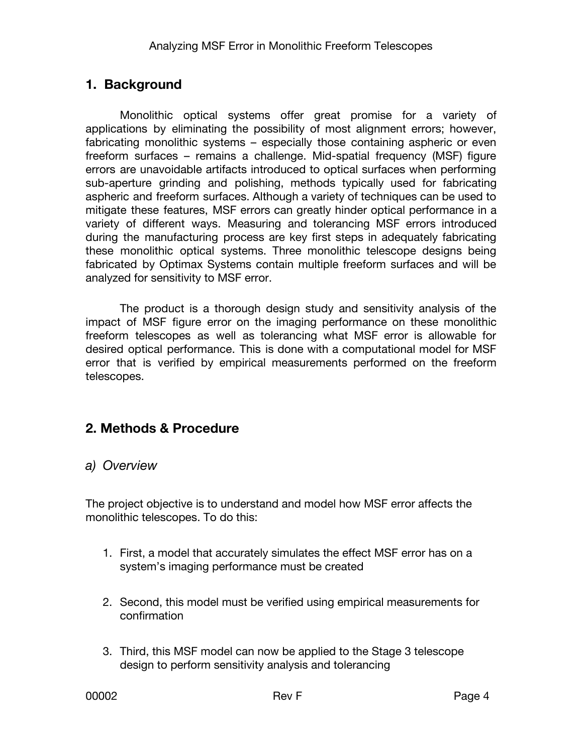### **1. Background**

Monolithic optical systems offer great promise for a variety of applications by eliminating the possibility of most alignment errors; however, fabricating monolithic systems – especially those containing aspheric or even freeform surfaces – remains a challenge. Mid-spatial frequency (MSF) figure errors are unavoidable artifacts introduced to optical surfaces when performing sub-aperture grinding and polishing, methods typically used for fabricating aspheric and freeform surfaces. Although a variety of techniques can be used to mitigate these features, MSF errors can greatly hinder optical performance in a variety of different ways. Measuring and tolerancing MSF errors introduced during the manufacturing process are key first steps in adequately fabricating these monolithic optical systems. Three monolithic telescope designs being fabricated by Optimax Systems contain multiple freeform surfaces and will be analyzed for sensitivity to MSF error.

The product is a thorough design study and sensitivity analysis of the impact of MSF figure error on the imaging performance on these monolithic freeform telescopes as well as tolerancing what MSF error is allowable for desired optical performance. This is done with a computational model for MSF error that is verified by empirical measurements performed on the freeform telescopes.

### **2. Methods & Procedure**

#### *a) Overview*

The project objective is to understand and model how MSF error affects the monolithic telescopes. To do this:

- 1. First, a model that accurately simulates the effect MSF error has on a system's imaging performance must be created
- 2. Second, this model must be verified using empirical measurements for confirmation
- 3. Third, this MSF model can now be applied to the Stage 3 telescope design to perform sensitivity analysis and tolerancing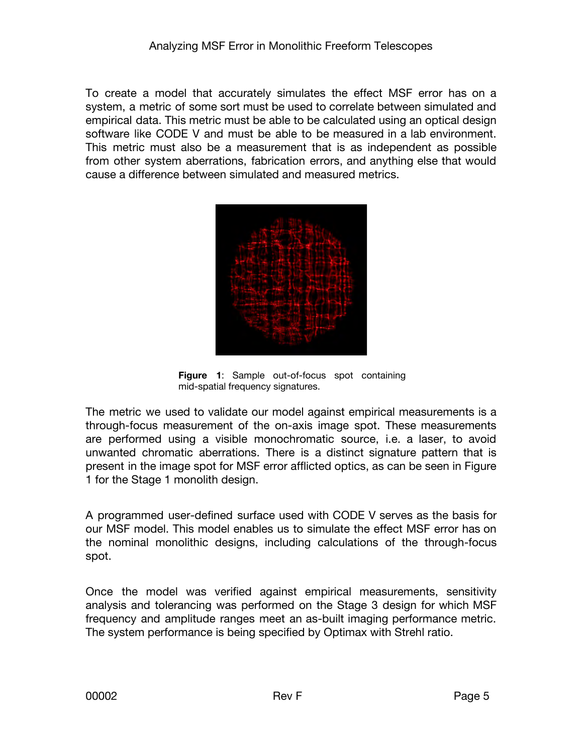To create a model that accurately simulates the effect MSF error has on a system, a metric of some sort must be used to correlate between simulated and empirical data. This metric must be able to be calculated using an optical design software like CODE V and must be able to be measured in a lab environment. This metric must also be a measurement that is as independent as possible from other system aberrations, fabrication errors, and anything else that would cause a difference between simulated and measured metrics.



 **Figure 1**: Sample out-of-focus spot containing mid-spatial frequency signatures.

The metric we used to validate our model against empirical measurements is a through-focus measurement of the on-axis image spot. These measurements are performed using a visible monochromatic source, i.e. a laser, to avoid unwanted chromatic aberrations. There is a distinct signature pattern that is present in the image spot for MSF error afflicted optics, as can be seen in Figure 1 for the Stage 1 monolith design.

A programmed user-defined surface used with CODE V serves as the basis for our MSF model. This model enables us to simulate the effect MSF error has on the nominal monolithic designs, including calculations of the through-focus spot.

Once the model was verified against empirical measurements, sensitivity analysis and tolerancing was performed on the Stage 3 design for which MSF frequency and amplitude ranges meet an as-built imaging performance metric. The system performance is being specified by Optimax with Strehl ratio.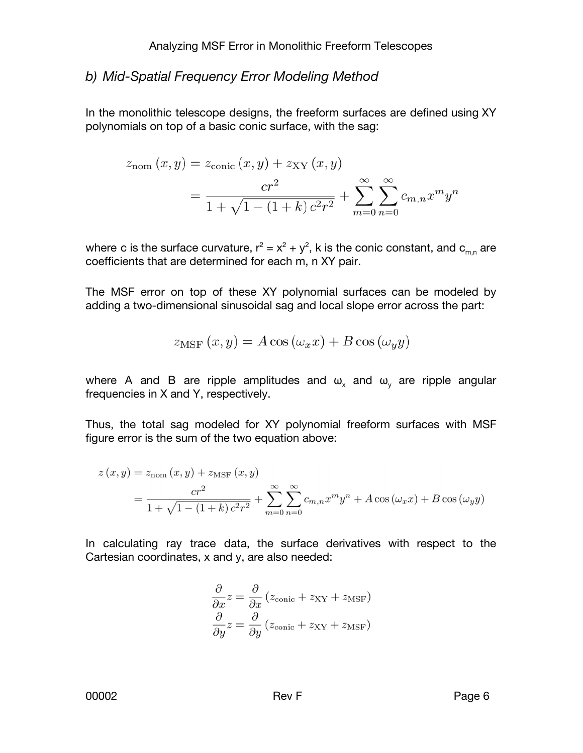#### *b) Mid-Spatial Frequency Error Modeling Method*

In the monolithic telescope designs, the freeform surfaces are defined using XY polynomials on top of a basic conic surface, with the sag:

$$
z_{\text{nom}}(x, y) = z_{\text{conic}}(x, y) + z_{\text{XY}}(x, y)
$$
  
= 
$$
\frac{cr^2}{1 + \sqrt{1 - (1 + k) c^2 r^2}} + \sum_{m=0}^{\infty} \sum_{n=0}^{\infty} c_{m,n} x^m y^n
$$

where c is the surface curvature,  $r^2 = x^2 + y^2$ , k is the conic constant, and  $\mathbf{c}_{\mathsf{m,n}}$  are coefficients that are determined for each m, n XY pair.

The MSF error on top of these XY polynomial surfaces can be modeled by adding a two-dimensional sinusoidal sag and local slope error across the part:

$$
z_{\text{MSF}}(x, y) = A \cos(\omega_x x) + B \cos(\omega_y y)
$$

where A and B are ripple amplitudes and  $\omega_x$  and  $\omega_y$  are ripple angular frequencies in X and Y, respectively.

Thus, the total sag modeled for XY polynomial freeform surfaces with MSF figure error is the sum of the two equation above:

$$
z(x,y) = z_{\text{nom}}(x,y) + z_{\text{MSF}}(x,y)
$$
  
= 
$$
\frac{cr^2}{1 + \sqrt{1 - (1+k)c^2r^2}} + \sum_{m=0}^{\infty} \sum_{n=0}^{\infty} c_{m,n}x^m y^n + A \cos(\omega_x x) + B \cos(\omega_y y)
$$

In calculating ray trace data, the surface derivatives with respect to the Cartesian coordinates, x and y, are also needed:

$$
\frac{\partial}{\partial x} z = \frac{\partial}{\partial x} (z_{\text{conic}} + z_{XY} + z_{\text{MSF}})
$$

$$
\frac{\partial}{\partial y} z = \frac{\partial}{\partial y} (z_{\text{conic}} + z_{XY} + z_{\text{MSF}})
$$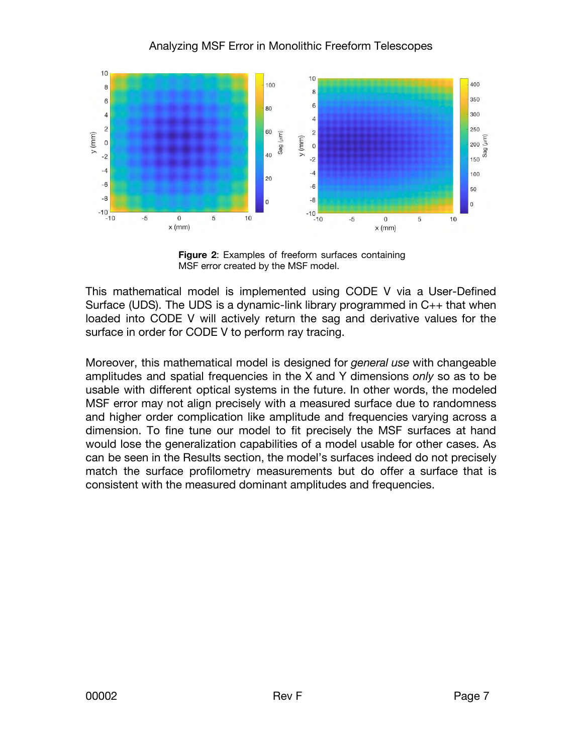#### Analyzing MSF Error in Monolithic Freeform Telescopes



 **Figure 2**: Examples of freeform surfaces containing MSF error created by the MSF model.

This mathematical model is implemented using CODE V via a User-Defined Surface (UDS). The UDS is a dynamic-link library programmed in C++ that when loaded into CODE V will actively return the sag and derivative values for the surface in order for CODE V to perform ray tracing.

Moreover, this mathematical model is designed for *general use* with changeable amplitudes and spatial frequencies in the X and Y dimensions *only* so as to be usable with different optical systems in the future. In other words, the modeled MSF error may not align precisely with a measured surface due to randomness and higher order complication like amplitude and frequencies varying across a dimension. To fine tune our model to fit precisely the MSF surfaces at hand would lose the generalization capabilities of a model usable for other cases. As can be seen in the Results section, the model's surfaces indeed do not precisely match the surface profilometry measurements but do offer a surface that is consistent with the measured dominant amplitudes and frequencies.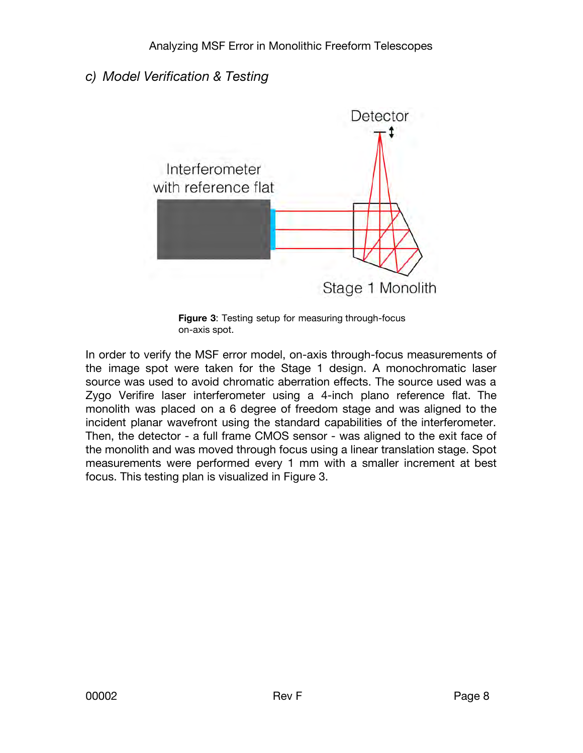#### *c) Model Verification & Testing*



 **Figure 3**: Testing setup for measuring through-focus on-axis spot.

In order to verify the MSF error model, on-axis through-focus measurements of the image spot were taken for the Stage 1 design. A monochromatic laser source was used to avoid chromatic aberration effects. The source used was a Zygo Verifire laser interferometer using a 4-inch plano reference flat. The monolith was placed on a 6 degree of freedom stage and was aligned to the incident planar wavefront using the standard capabilities of the interferometer. Then, the detector - a full frame CMOS sensor - was aligned to the exit face of the monolith and was moved through focus using a linear translation stage. Spot measurements were performed every 1 mm with a smaller increment at best focus. This testing plan is visualized in Figure 3.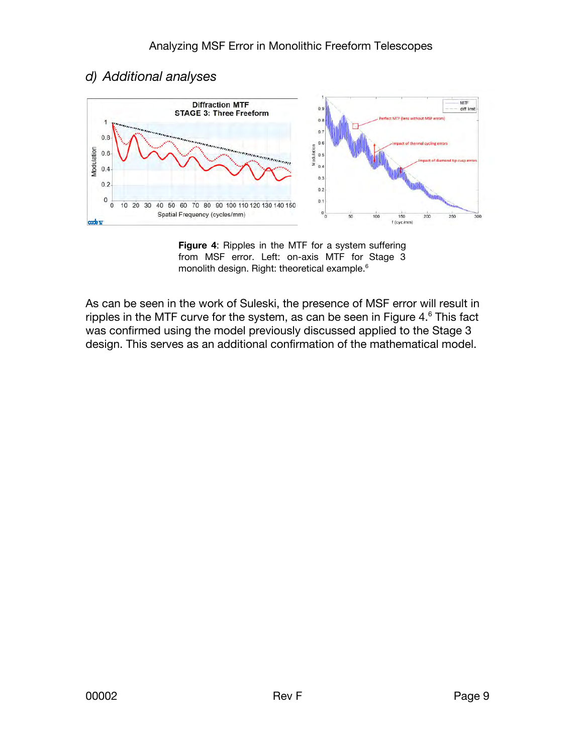#### *d) Additional analyses*



 **Figure 4**: Ripples in the MTF for a system suffering from MSF error. Left: on-axis MTF for Stage 3 monolith design. Right: theoretical example.<sup>6</sup>

As can be seen in the work of Suleski, the presence of MSF error will result in ripples in the MTF curve for the system, as can be seen in Figure 4. $^{\rm 6}$  This fact was confirmed using the model previously discussed applied to the Stage 3 design. This serves as an additional confirmation of the mathematical model.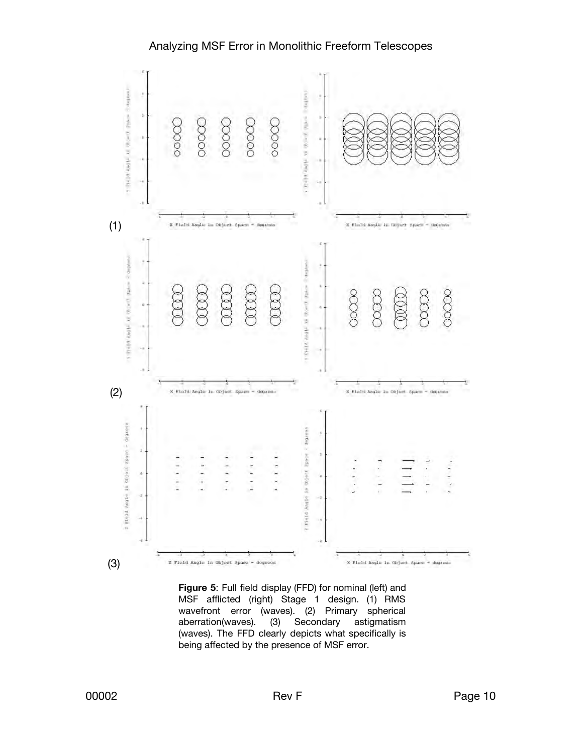#### Analyzing MSF Error in Monolithic Freeform Telescopes



 **Figure 5**: Full field display (FFD) for nominal (left) and MSF afflicted (right) Stage 1 design. (1) RMS wavefront error (waves). (2) Primary spherical<br>aberration(waves). (3) Secondary astigmatism Secondary astigmatism (waves). The FFD clearly depicts what specifically is being affected by the presence of MSF error.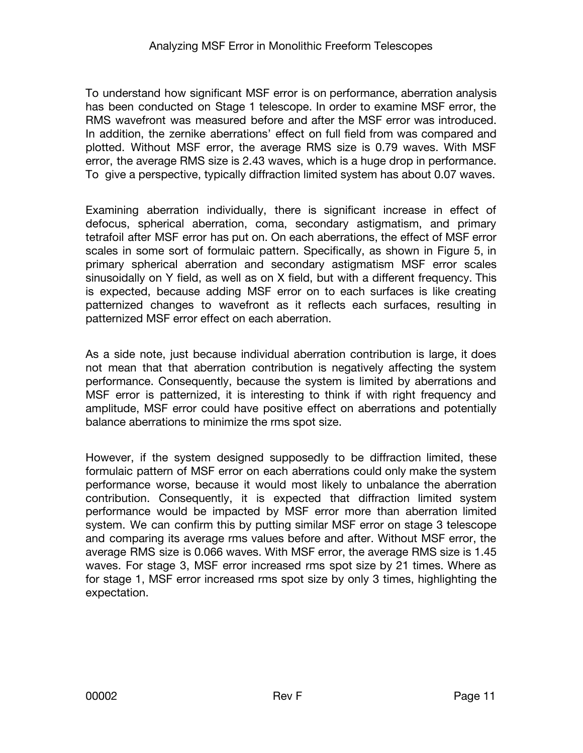To understand how significant MSF error is on performance, aberration analysis has been conducted on Stage 1 telescope. In order to examine MSF error, the RMS wavefront was measured before and after the MSF error was introduced. In addition, the zernike aberrations' effect on full field from was compared and plotted. Without MSF error, the average RMS size is 0.79 waves. With MSF error, the average RMS size is 2.43 waves, which is a huge drop in performance. To give a perspective, typically diffraction limited system has about 0.07 waves.

Examining aberration individually, there is significant increase in effect of defocus, spherical aberration, coma, secondary astigmatism, and primary tetrafoil after MSF error has put on. On each aberrations, the effect of MSF error scales in some sort of formulaic pattern. Specifically, as shown in Figure 5, in primary spherical aberration and secondary astigmatism MSF error scales sinusoidally on Y field, as well as on X field, but with a different frequency. This is expected, because adding MSF error on to each surfaces is like creating patternized changes to wavefront as it reflects each surfaces, resulting in patternized MSF error effect on each aberration.

As a side note, just because individual aberration contribution is large, it does not mean that that aberration contribution is negatively affecting the system performance. Consequently, because the system is limited by aberrations and MSF error is patternized, it is interesting to think if with right frequency and amplitude, MSF error could have positive effect on aberrations and potentially balance aberrations to minimize the rms spot size.

However, if the system designed supposedly to be diffraction limited, these formulaic pattern of MSF error on each aberrations could only make the system performance worse, because it would most likely to unbalance the aberration contribution. Consequently, it is expected that diffraction limited system performance would be impacted by MSF error more than aberration limited system. We can confirm this by putting similar MSF error on stage 3 telescope and comparing its average rms values before and after. Without MSF error, the average RMS size is 0.066 waves. With MSF error, the average RMS size is 1.45 waves. For stage 3, MSF error increased rms spot size by 21 times. Where as for stage 1, MSF error increased rms spot size by only 3 times, highlighting the expectation.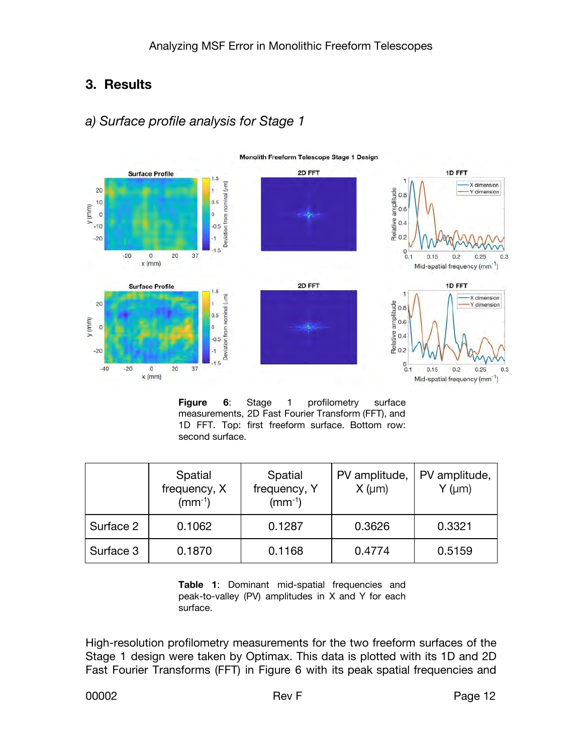## **3. Results**

## *a) Surface profile analysis for Stage 1*



**Figure 6**: Stage 1 profilometry surface measurements, 2D Fast Fourier Transform (FFT), and 1D FFT. Top: first freeform surface. Bottom row: second surface.

|           | Spatial<br>frequency, X<br>$(mm^{-1})$ | Spatial<br>frequency, Y<br>$(mm^{-1})$ | PV amplitude,<br>$X \, (\mu m)$ | PV amplitude,<br>$Y$ ( $\mu$ m) |
|-----------|----------------------------------------|----------------------------------------|---------------------------------|---------------------------------|
| Surface 2 | 0.1062                                 | 0.1287                                 | 0.3626                          | 0.3321                          |
| Surface 3 | 0.1870                                 | 0.1168                                 | 0.4774                          | 0.5159                          |

 **Table 1**: Dominant mid-spatial frequencies and peak-to-valley (PV) amplitudes in X and Y for each surface.

High-resolution profilometry measurements for the two freeform surfaces of the Stage 1 design were taken by Optimax. This data is plotted with its 1D and 2D Fast Fourier Transforms (FFT) in Figure 6 with its peak spatial frequencies and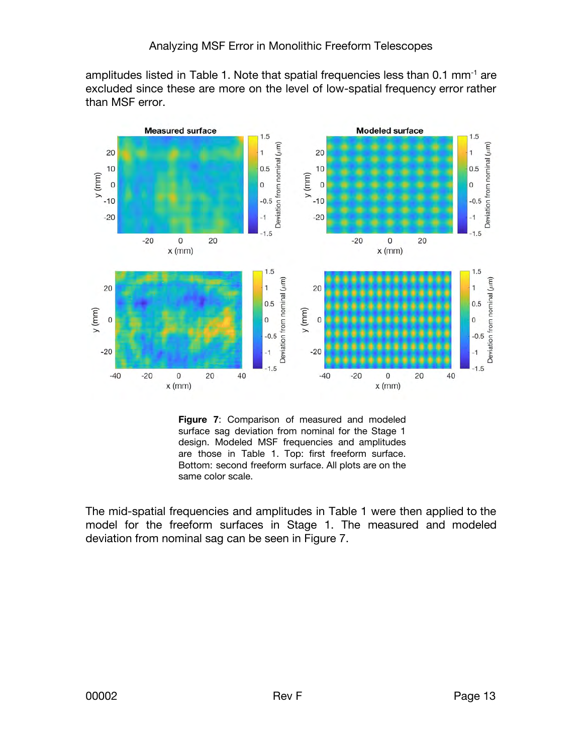amplitudes listed in Table 1. Note that spatial frequencies less than 0.1 mm<sup>-1</sup> are excluded since these are more on the level of low-spatial frequency error rather than MSF error.



 **Figure 7**: Comparison of measured and modeled surface sag deviation from nominal for the Stage 1 design. Modeled MSF frequencies and amplitudes are those in Table 1. Top: first freeform surface. Bottom: second freeform surface. All plots are on the same color scale.

The mid-spatial frequencies and amplitudes in Table 1 were then applied to the model for the freeform surfaces in Stage 1. The measured and modeled deviation from nominal sag can be seen in Figure 7.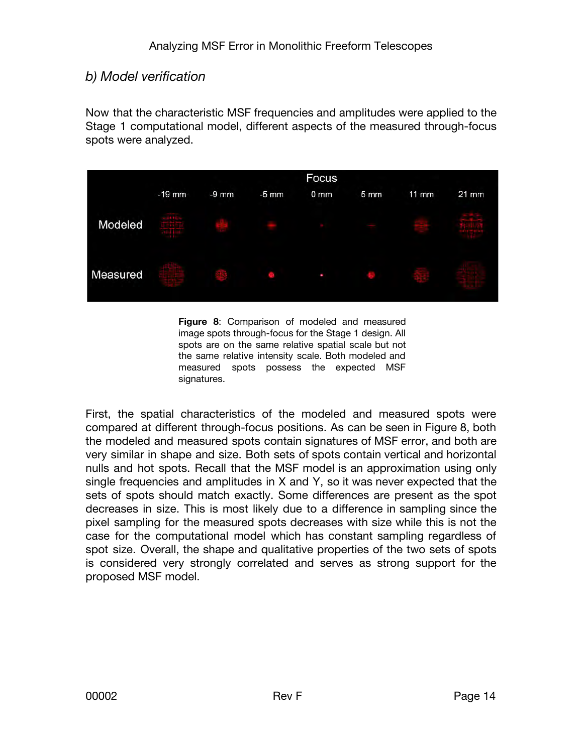#### *b) Model verification*

Now that the characteristic MSF frequencies and amplitudes were applied to the Stage 1 computational model, different aspects of the measured through-focus spots were analyzed.



 **Figure 8**: Comparison of modeled and measured image spots through-focus for the Stage 1 design. All spots are on the same relative spatial scale but not the same relative intensity scale. Both modeled and measured spots possess the expected MSF signatures.

First, the spatial characteristics of the modeled and measured spots were compared at different through-focus positions. As can be seen in Figure 8, both the modeled and measured spots contain signatures of MSF error, and both are very similar in shape and size. Both sets of spots contain vertical and horizontal nulls and hot spots. Recall that the MSF model is an approximation using only single frequencies and amplitudes in X and Y, so it was never expected that the sets of spots should match exactly. Some differences are present as the spot decreases in size. This is most likely due to a difference in sampling since the pixel sampling for the measured spots decreases with size while this is not the case for the computational model which has constant sampling regardless of spot size. Overall, the shape and qualitative properties of the two sets of spots is considered very strongly correlated and serves as strong support for the proposed MSF model.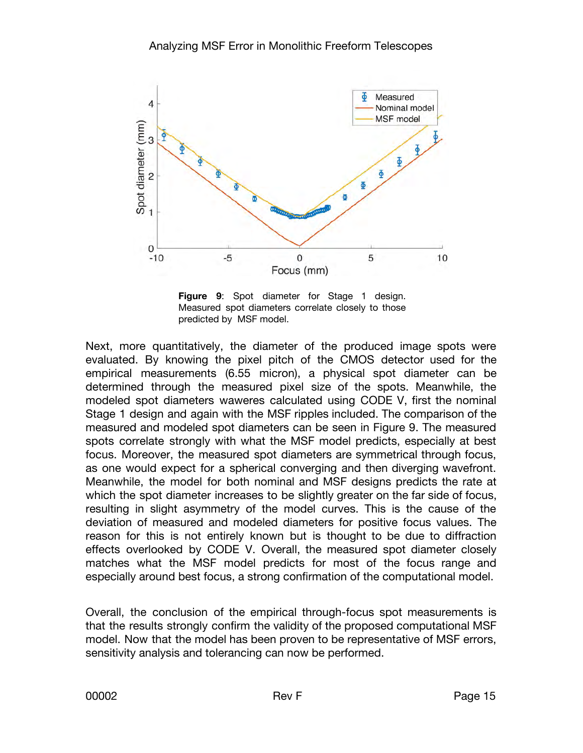

 **Figure 9**: Spot diameter for Stage 1 design. Measured spot diameters correlate closely to those predicted by MSF model.

Next, more quantitatively, the diameter of the produced image spots were evaluated. By knowing the pixel pitch of the CMOS detector used for the empirical measurements (6.55 micron), a physical spot diameter can be determined through the measured pixel size of the spots. Meanwhile, the modeled spot diameters waweres calculated using CODE V, first the nominal Stage 1 design and again with the MSF ripples included. The comparison of the measured and modeled spot diameters can be seen in Figure 9. The measured spots correlate strongly with what the MSF model predicts, especially at best focus. Moreover, the measured spot diameters are symmetrical through focus, as one would expect for a spherical converging and then diverging wavefront. Meanwhile, the model for both nominal and MSF designs predicts the rate at which the spot diameter increases to be slightly greater on the far side of focus, resulting in slight asymmetry of the model curves. This is the cause of the deviation of measured and modeled diameters for positive focus values. The reason for this is not entirely known but is thought to be due to diffraction effects overlooked by CODE V. Overall, the measured spot diameter closely matches what the MSF model predicts for most of the focus range and especially around best focus, a strong confirmation of the computational model.

Overall, the conclusion of the empirical through-focus spot measurements is that the results strongly confirm the validity of the proposed computational MSF model. Now that the model has been proven to be representative of MSF errors, sensitivity analysis and tolerancing can now be performed.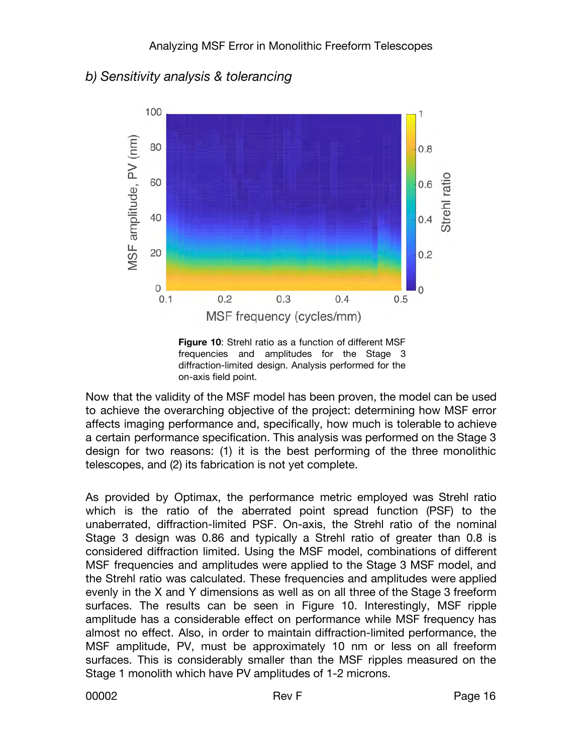#### *b) Sensitivity analysis & tolerancing*



 **Figure 10**: Strehl ratio as a function of different MSF frequencies and amplitudes for the Stage 3 diffraction-limited design. Analysis performed for the on-axis field point.

Now that the validity of the MSF model has been proven, the model can be used to achieve the overarching objective of the project: determining how MSF error affects imaging performance and, specifically, how much is tolerable to achieve a certain performance specification. This analysis was performed on the Stage 3 design for two reasons: (1) it is the best performing of the three monolithic telescopes, and (2) its fabrication is not yet complete.

As provided by Optimax, the performance metric employed was Strehl ratio which is the ratio of the aberrated point spread function (PSF) to the unaberrated, diffraction-limited PSF. On-axis, the Strehl ratio of the nominal Stage 3 design was 0.86 and typically a Strehl ratio of greater than 0.8 is considered diffraction limited. Using the MSF model, combinations of different MSF frequencies and amplitudes were applied to the Stage 3 MSF model, and the Strehl ratio was calculated. These frequencies and amplitudes were applied evenly in the X and Y dimensions as well as on all three of the Stage 3 freeform surfaces. The results can be seen in Figure 10. Interestingly, MSF ripple amplitude has a considerable effect on performance while MSF frequency has almost no effect. Also, in order to maintain diffraction-limited performance, the MSF amplitude, PV, must be approximately 10 nm or less on all freeform surfaces. This is considerably smaller than the MSF ripples measured on the Stage 1 monolith which have PV amplitudes of 1-2 microns.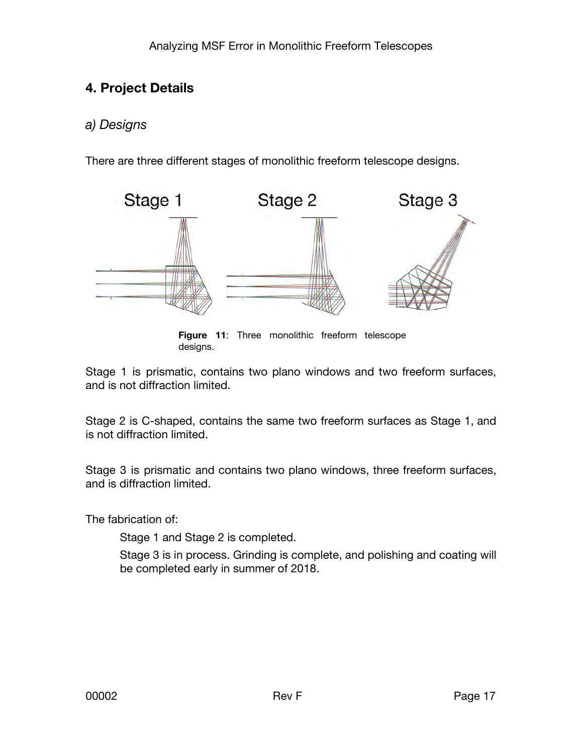## **4. Project Details**

## *a) Designs*

There are three different stages of monolithic freeform telescope designs.



 **Figure 11**: Three monolithic freeform telescope designs.

Stage 1 is prismatic, contains two plano windows and two freeform surfaces, and is not diffraction limited.

Stage 2 is C-shaped, contains the same two freeform surfaces as Stage 1, and is not diffraction limited.

Stage 3 is prismatic and contains two plano windows, three freeform surfaces, and is diffraction limited.

The fabrication of:

Stage 1 and Stage 2 is completed.

Stage 3 is in process. Grinding is complete, and polishing and coating will be completed early in summer of 2018.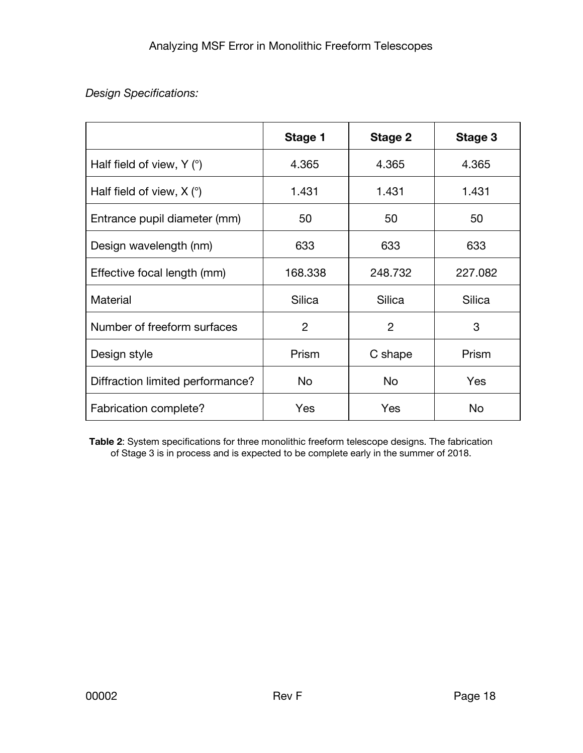#### *Design Specifications:*

|                                       | Stage 1 | Stage 2        | Stage 3 |
|---------------------------------------|---------|----------------|---------|
| Half field of view, $Y$ ( $\degree$ ) | 4.365   | 4.365          | 4.365   |
| Half field of view, $X$ ( $\degree$ ) | 1.431   | 1.431          | 1.431   |
| Entrance pupil diameter (mm)          | 50      | 50             | 50      |
| Design wavelength (nm)                | 633     | 633            | 633     |
| Effective focal length (mm)           | 168.338 | 248.732        | 227.082 |
| Material                              | Silica  | Silica         | Silica  |
| Number of freeform surfaces           | 2       | $\overline{2}$ | 3       |
| Design style                          | Prism   | C shape        | Prism   |
| Diffraction limited performance?      | No.     | <b>No</b>      | Yes     |
| Fabrication complete?                 | Yes     | Yes            | No      |

**Table 2**: System specifications for three monolithic freeform telescope designs. The fabrication of Stage 3 is in process and is expected to be complete early in the summer of 2018.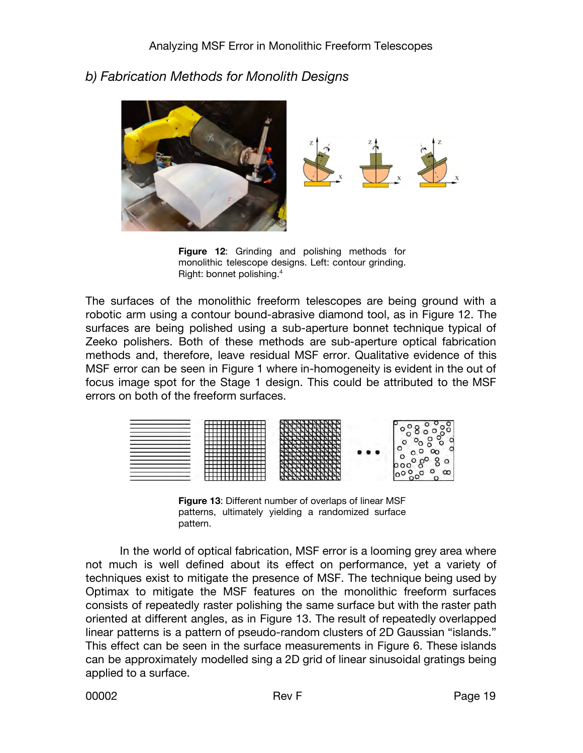

#### *b) Fabrication Methods for Monolith Designs*

**Figure 12:** Grinding and polishing methods for monolithic telescope designs. Left: contour grinding. Right: bonnet polishing.<sup>4</sup>

The surfaces of the monolithic freeform telescopes are being ground with a robotic arm using a contour bound-abrasive diamond tool, as in Figure 12. The surfaces are being polished using a sub-aperture bonnet technique typical of Zeeko polishers. Both of these methods are sub-aperture optical fabrication methods and, therefore, leave residual MSF error. Qualitative evidence of this MSF error can be seen in Figure 1 where in-homogeneity is evident in the out of focus image spot for the Stage 1 design. This could be attributed to the MSF errors on both of the freeform surfaces.



 **Figure 13**: Different number of overlaps of linear MSF patterns, ultimately yielding a randomized surface pattern.

In the world of optical fabrication, MSF error is a looming grey area where not much is well defined about its effect on performance, yet a variety of techniques exist to mitigate the presence of MSF. The technique being used by Optimax to mitigate the MSF features on the monolithic freeform surfaces consists of repeatedly raster polishing the same surface but with the raster path oriented at different angles, as in Figure 13. The result of repeatedly overlapped linear patterns is a pattern of pseudo-random clusters of 2D Gaussian "islands." This effect can be seen in the surface measurements in Figure 6. These islands can be approximately modelled sing a 2D grid of linear sinusoidal gratings being applied to a surface.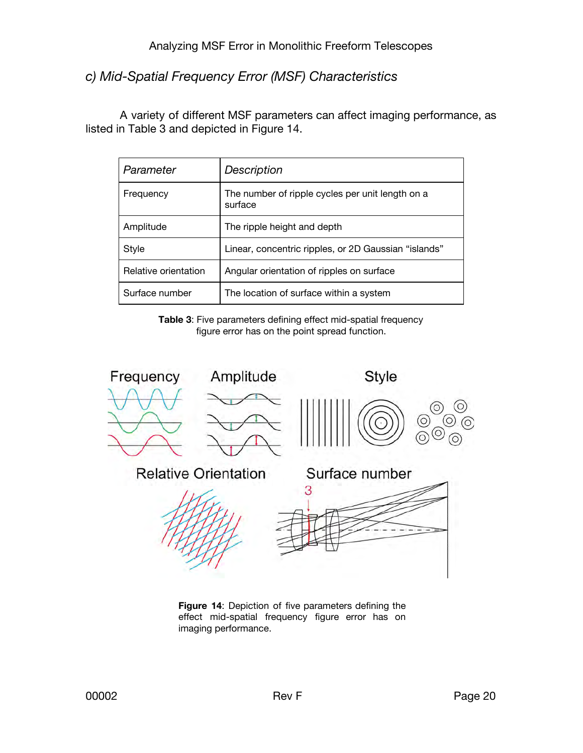*c) Mid-Spatial Frequency Error (MSF) Characteristics* 

A variety of different MSF parameters can affect imaging performance, as listed in Table 3 and depicted in Figure 14.

| Parameter            | Description                                                 |
|----------------------|-------------------------------------------------------------|
| Frequency            | The number of ripple cycles per unit length on a<br>surface |
| Amplitude            | The ripple height and depth                                 |
| <b>Style</b>         | Linear, concentric ripples, or 2D Gaussian "islands"        |
| Relative orientation | Angular orientation of ripples on surface                   |
| Surface number       | The location of surface within a system                     |

**Table 3**: Five parameters defining effect mid-spatial frequency figure error has on the point spread function.



 **Figure 14**: Depiction of five parameters defining the effect mid-spatial frequency figure error has on imaging performance.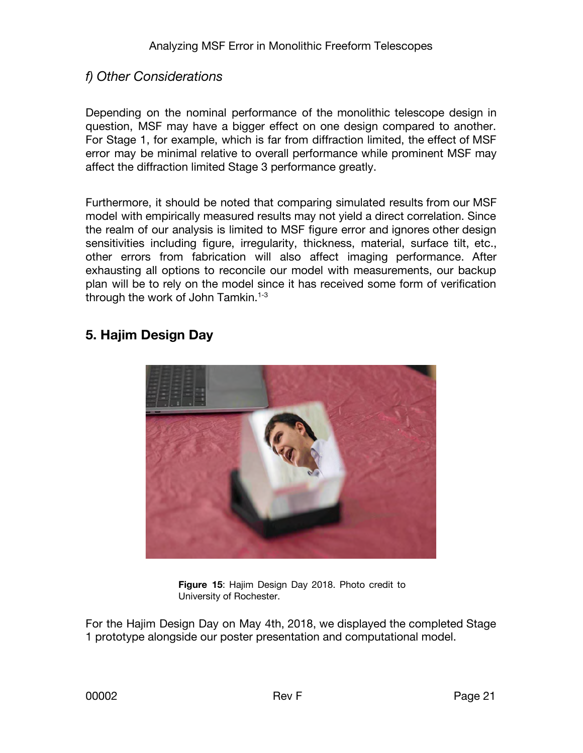#### *f) Other Considerations*

Depending on the nominal performance of the monolithic telescope design in question, MSF may have a bigger effect on one design compared to another. For Stage 1, for example, which is far from diffraction limited, the effect of MSF error may be minimal relative to overall performance while prominent MSF may affect the diffraction limited Stage 3 performance greatly.

Furthermore, it should be noted that comparing simulated results from our MSF model with empirically measured results may not yield a direct correlation. Since the realm of our analysis is limited to MSF figure error and ignores other design sensitivities including figure, irregularity, thickness, material, surface tilt, etc., other errors from fabrication will also affect imaging performance. After exhausting all options to reconcile our model with measurements, our backup plan will be to rely on the model since it has received some form of verification through the work of John Tamkin.<sup>1-3</sup>

#### **5. Hajim Design Day**



 **Figure 15**: Hajim Design Day 2018. Photo credit to University of Rochester.

For the Hajim Design Day on May 4th, 2018, we displayed the completed Stage 1 prototype alongside our poster presentation and computational model.